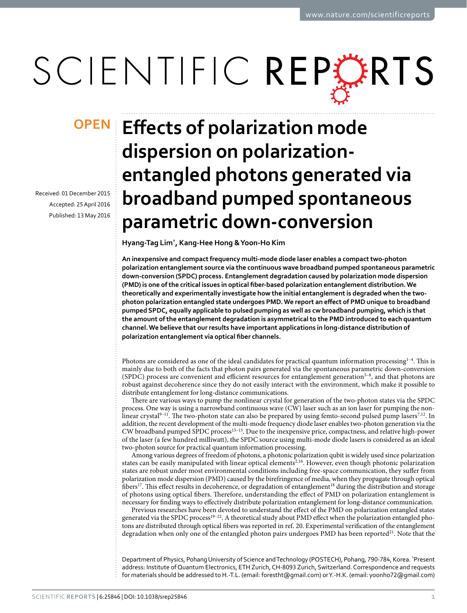# SCIENTIFIC REPERTS

Received: 01 December 2015 accepted: 25 April 2016 Published: 13 May 2016

## **Effects of polarization mode OPENdispersion on polarizationentangled photons generated via broadband pumped spontaneous parametric down-conversion**

**Hyang-Tag Lim† , Kang-Hee Hong & Yoon-Ho Kim**

**An inexpensive and compact frequency multi-mode diode laser enables a compact two-photon polarization entanglement source via the continuous wave broadband pumped spontaneous parametric down-conversion (SPDC) process. Entanglement degradation caused by polarization mode dispersion (PMD) is one of the critical issues in optical fiber-based polarization entanglement distribution. We theoretically and experimentally investigate how the initial entanglement is degraded when the twophoton polarization entangled state undergoes PMD. We report an effect of PMD unique to broadband pumped SPDC, equally applicable to pulsed pumping as well as cw broadband pumping, which is that the amount of the entanglement degradation is asymmetrical to the PMD introduced to each quantum channel. We believe that our results have important applications in long-distance distribution of polarization entanglement via optical fiber channels.**

Photons are considered as one of the ideal candidates for practical quantum information processing $1-4$ . This is mainly due to both of the facts that photon pairs generated via the spontaneous parametric down-conversion (SPDC) process are convenient and efficient resources for entanglement generation[5–8](#page-5-1), and that photons are robust against decoherence since they do not easily interact with the environment, which make it possible to distribute entanglement for long-distance communications.

There are various ways to pump the nonlinear crystal for generation of the two-photon states via the SPDC process. One way is using a narrowband continuous wave (CW) laser such as an ion laser for pumping the non-linear crystal<sup>9-11</sup>. The two-photon state can also be prepared by using femto-second pulsed pump lasers<sup>7,[12](#page-5-4)</sup>. In addition, the recent development of the multi-mode frequency diode laser enables two-photon generation via the CW broadband pumped SPDC proces[s13–15.](#page-5-5) Due to the inexpensive price, compactness, and relative high-power of the laser (a few hundred milliwatt), the SPDC source using multi-mode diode lasers is considered as an ideal two-photon source for practical quantum information processing.

Among various degrees of freedom of photons, a photonic polarization qubit is widely used since polarization states can be easily manipulated with linear optical elements<sup>2,[16](#page-5-7)</sup>. However, even though photonic polarization states are robust under most environmental conditions including free-space communication, they suffer from polarization mode dispersion (PMD) caused by the birefringence of media, when they propagate through optical fibers[17](#page-5-8). This effect results in decoherence, or degradation of entanglemen[t18](#page-5-9) during the distribution and storage of photons using optical fibers. Therefore, understanding the effect of PMD on polarization entanglement is necessary for finding ways to effectively distribute polarization entanglement for long-distance communication.

Previous researches have been devoted to understand the effect of the PMD on polarization entangled states generated via the SPDC process<sup>19-22</sup>. A theoretical study about PMD effect when the polarization entangled photons are distributed through optical fibers was reported in [ref. 20.](#page-5-11) Experimental verification of the entanglement degradation when only one of the entangled photon pairs undergoes PMD has been reported<sup>[21](#page-5-12)</sup>. Note that the

Department of Physics, Pohang University of Science and Technology (POSTECH), Pohang, 790-784, Korea. † Present address: Institute of Quantum Electronics, ETH Zurich, CH-8093 Zurich, Switzerland. Correspondence and requests for materials should be addressed to H.-T.L. (email: [forestht@gmail.com](mailto:forestht@gmail.com)) or Y.-H.K. (email: [yoonho72@gmail.com](mailto:yoonho72@gmail.com))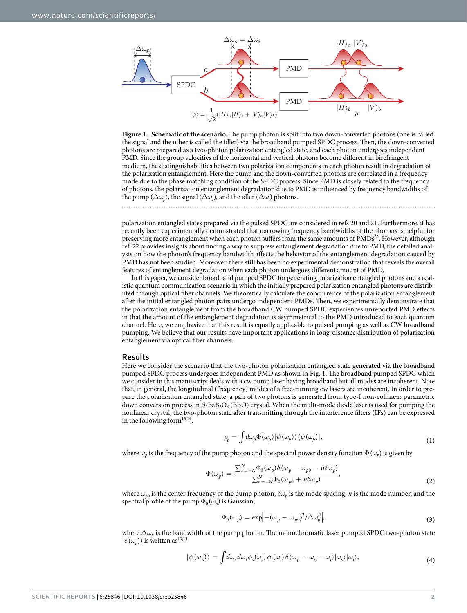

<span id="page-1-0"></span>**Figure 1. Schematic of the scenario.** The pump photon is split into two down-converted photons (one is called the signal and the other is called the idler) via the broadband pumped SPDC process. Then, the down-converted photons are prepared as a two-photon polarization entangled state, and each photon undergoes independent PMD. Since the group velocities of the horizontal and vertical photons become different in birefringent medium, the distinguishabilities between two polarization components in each photon result in degradation of the polarization entanglement. Here the pump and the down-converted photons are correlated in a frequency mode due to the phase matching condition of the SPDC process. Since PMD is closely related to the frequency of photons, the polarization entanglement degradation due to PMD is influenced by frequency bandwidths of the pump  $(\Delta \omega_p)$ , the signal  $(\Delta \omega_s)$ , and the idler  $(\Delta \omega_i)$  photons.

polarization entangled states prepared via the pulsed SPDC are considered in [refs 20](#page-5-11) and [21](#page-5-12). Furthermore, it has recently been experimentally demonstrated that narrowing frequency bandwidths of the photons is helpful for preserving more entanglement when each photon suffers from the same amounts of  $PMDs<sup>22</sup>$  $PMDs<sup>22</sup>$  $PMDs<sup>22</sup>$ . However, although [ref. 22](#page-5-13) provides insights about finding a way to suppress entanglement degradation due to PMD, the detailed analysis on how the photon's frequency bandwidth affects the behavior of the entanglement degradation caused by PMD has not been studied. Moreover, there still has been no experimental demonstration that reveals the overall features of entanglement degradation when each photon undergoes different amount of PMD.

In this paper, we consider broadband pumped SPDC for generating polarization entangled photons and a realistic quantum communication scenario in which the initially prepared polarization entangled photons are distributed through optical fiber channels. We theoretically calculate the concurrence of the polarization entanglement after the initial entangled photon pairs undergo independent PMDs. Then, we experimentally demonstrate that the polarization entanglement from the broadband CW pumped SPDC experiences unreported PMD effects in that the amount of the entanglement degradation is asymmetrical to the PMD introduced to each quantum channel. Here, we emphasize that this result is equally applicable to pulsed pumping as well as CW broadband pumping. We believe that our results have important applications in long-distance distribution of polarization entanglement via optical fiber channels.

#### **Results**

Here we consider the scenario that the two-photon polarization entangled state generated via the broadband pumped SPDC process undergoes independent PMD as shown in [Fig. 1](#page-1-0). The broadband pumped SPDC which we consider in this manuscript deals with a cw pump laser having broadband but all modes are incoherent. Note that, in general, the longitudinal (frequency) modes of a free-running cw lasers are incoherent. In order to prepare the polarization entangled state, a pair of two photons is generated from type-I non-collinear parametric down conversion process in *β*-BaB<sub>2</sub>O<sub>4</sub> (BBO) crystal. When the multi-mode diode laser is used for pumping the nonlinear crystal, the two-photon state after transmitting through the interference filters (IFs) can be expressed in the following form<sup>[13](#page-5-5)[,14](#page-5-14)</sup>,

$$
\rho_p = \int d\omega_p \Phi(\omega_p) |\psi(\omega_p)\rangle \langle \psi(\omega_p)|,\tag{1}
$$

where  $\omega_p$  is the frequency of the pump photon and the spectral power density function  $\Phi(\omega_p)$  is given by

$$
\Phi(\omega_p) = \frac{\sum_{n=-N}^{N} \Phi_0(\omega_p) \delta(\omega_p - \omega_{p0} - n \delta \omega_p)}{\sum_{n=-N}^{N} \Phi_0(\omega_{p0} + n \delta \omega_p)},
$$
\n(2)

where  $\omega_{p0}$  is the center frequency of the pump photon,  $\delta\omega_p$  is the mode spacing, *n* is the mode number, and the spectral profile of the pump  $\Phi_0(\omega_p)$  is Gaussian,

$$
\Phi_0(\omega_p) = \exp[-(\omega_p - \omega_{p0})^2/\Delta\omega_p^2],\tag{3}
$$

where  $\Delta\omega_p$  is the bandwidth of the pump photon. The monochromatic laser pumped SPDC two-photon state  $|\psi(\omega_p)\rangle$  is written as<sup>[13](#page-5-5)[,14](#page-5-14)</sup>

$$
|\psi(\omega_p)\rangle = \int d\omega_s d\omega_i \phi_s(\omega_s) \phi_i(\omega_i) \delta(\omega_p - \omega_s - \omega_i) |\omega_s\rangle |\omega_i\rangle, \tag{4}
$$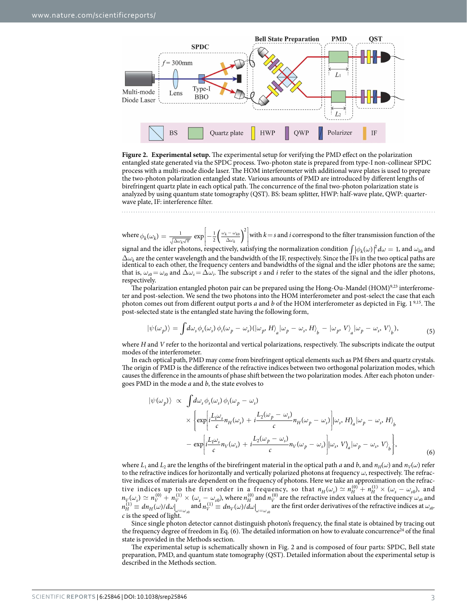

<span id="page-2-0"></span>**Figure 2. Experimental setup.** The experimental setup for verifying the PMD effect on the polarization entangled state generated via the SPDC process. Two-photon state is prepared from type-I non-collinear SPDC process with a multi-mode diode laser. The HOM interferometer with additional wave plates is used to prepare the two-photon polarization entangled state. Various amounts of PMD are introduced by different lengths of birefringent quartz plate in each optical path. The concurrence of the final two-photon polarization state is analyzed by using quantum state tomography (QST). BS: beam splitter, HWP: half-wave plate, QWP: quarterwave plate, IF: interference filter.

where  $\phi_k(\omega_k) = \frac{1}{\sqrt{\Delta \omega_k \sqrt{\pi}}} \exp \left[-\frac{1}{2} \left(\frac{\omega_k - \omega_{k0}}{\Delta \omega_k}\right)^2\right]$  $\mathsf{l}$ I ļ  $\Delta\omega_k\sqrt{\pi}$  **Fig. 1** 2  $\Delta\omega$  $\omega_k(\omega_k) = \frac{1}{\sqrt{\Delta \omega_k \sqrt{\pi}}} \exp \left[-\frac{1}{2} \left( \frac{\omega_k - \omega_{k0}}{\Delta \omega_k} \right) \right]$ 2 *k*  $k - \omega_k$  $\left(\frac{\omega_{k0}}{k}\right)$  with  $k=s$  and *i* correspond to the filter transmission function of the

signal and the idler photons, respectively, satisfying the normalization condition  $\int |\phi_k(\omega)|^2 d\omega = 1$ , and  $\omega_{k0}$  and  $\Delta\omega_k$  are the center wavelength and the bandwidth of the IF, respectively. Since the IFs in the two optical paths are identical to each other, the frequency centers and bandwidths of the signal and the idler photons are that is,  $\omega_{s0} = \omega_{i0}$  and  $\Delta \omega_s = \Delta \omega_i$ . The subscript *s* and *i* refer to the states of the signal and the idler photons, respectively.

The polarization entangled photon pair can be prepared using the Hong-Ou-Mandel (HOM) $9,23$  $9,23$  $9,23$  interferometer and post-selection. We send the two photons into the HOM interferometer and post-select the case that each photon comes out from different output ports *a* and *b* of the HOM interferometer as depicted in [Fig. 1](#page-1-0) [9](#page-5-2)[,15](#page-5-16). The post-selected state is the entangled state having the following form,

$$
|\psi(\omega_p)\rangle = \int d\omega_s \phi_s(\omega_s) \phi_i(\omega_p - \omega_s) (|\omega_p, H\rangle_a |\omega_p - \omega_s, H\rangle_b - |\omega_p, V\rangle_a |\omega_p - \omega_s, V\rangle_b),
$$
\n(5)

where *H* and *V* refer to the horizontal and vertical polarizations, respectively. The subscripts indicate the output modes of the interferometer.

In each optical path, PMD may come from birefringent optical elements such as PM fibers and quartz crystals. The origin of PMD is the difference of the refractive indices between two orthogonal polarization modes, which causes the difference in the amounts of phase shift between the two polarization modes. After each photon undergoes PMD in the mode *a* and *b*, the state evolves to

$$
|\psi(\omega_p)\rangle \propto \int d\omega_s \phi_s(\omega_s) \phi_i(\omega_p - \omega_s)
$$
  
 
$$
\times \left\{ \exp\left[i\frac{L_1\omega_s}{c}n_H(\omega_s) + i\frac{L_2(\omega_p - \omega_s)}{c}n_H(\omega_p - \omega_s)\right] |\omega_s, H\rangle_a |\omega_p - \omega_s, H\rangle_b
$$
  
- 
$$
= \exp\left[i\frac{L_1\omega_s}{c}n_V(\omega_s) + i\frac{L_2(\omega_p - \omega_s)}{c}n_V(\omega_p - \omega_s)\right] |\omega_s, V\rangle_a |\omega_p - \omega_s, V\rangle_b \right\},
$$
(6)

where  $L_1$  and  $L_2$  are the lengths of the birefringent material in the optical path *a* and *b*, and  $n_H(\omega)$  and  $n_V(\omega)$  refer to the refractive indices for horizontally and vertically polarized photons at frequency *ω*, respectively. The refractive indices of materials are dependent on the frequency of photons. Here we take an approximation on the refractive indices up to the first order in a frequency, so that  $n_H(\omega_s) \simeq n_H^{(0)} + n_H^{(1)} \times (\omega_s - \omega_{s0})$ , and  $n_V(\omega_s) \simeq n_V^{(0)} + n_V^{(1)} \times (\omega_s - \omega_{s0})$ , where  $n_H^{(0)}$  and  $n_V^{(0)}$  are the refractive index values at the frequency  $\omega_{s0}$  and  $n_H^{(1)} \equiv dn_H(\omega)/d\omega\Big|_{\omega=\omega_{s0}}$  and  $n_V^{(1)} \equiv dn_V(\omega)/d\omega\Big|_{\omega=\omega}$ are the first order derivatives of the refractive indices at  $\omega_{s0}$ . *c* is the speed of light.

Since single photon detector cannot distinguish photon's frequency, the final state is obtained by tracing out the frequency degree of freedom in Eq. (6). The detailed information on how to evaluate concurrence<sup>[24](#page-5-17)</sup> of the final state is provided in the Methods section.

The experimental setup is schematically shown in [Fig. 2](#page-2-0) and is composed of four parts: SPDC, Bell state preparation, PMD, and quantum state tomography (QST). Detailed information about the experimental setup is described in the Methods section.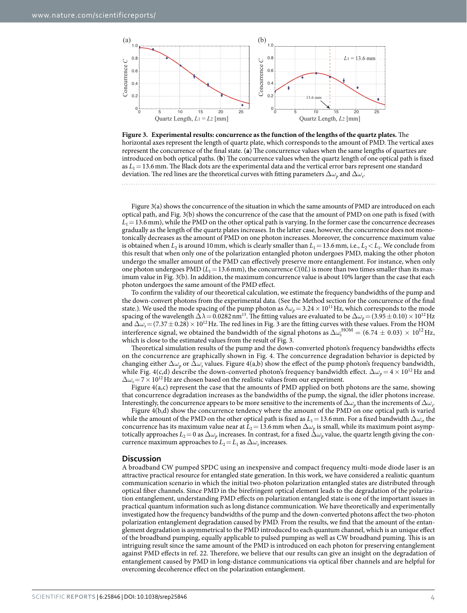

<span id="page-3-0"></span>

[Figure 3\(a\)](#page-3-0) shows the concurrence of the situation in which the same amounts of PMD are introduced on each optical path, and [Fig. 3\(b\)](#page-3-0) shows the concurrence of the case that the amount of PMD on one path is fixed (with  $L_1$  = 13.6 mm), while the PMD on the other optical path is varying. In the former case the concurrence decreases gradually as the length of the quartz plates increases. In the latter case, however, the concurrence does not monotonically decreases as the amount of PMD on one photon increases. Moreover, the concurrence maximum value is obtained when  $L_2$  is around 10 mm, which is clearly smaller than  $L_1 = 13.6$  mm, i.e.,  $L_2 < L_1$ . We conclude from this result that when only one of the polarization entangled photon undergoes PMD, making the other photon undergo the smaller amount of the PMD can effectively preserve more entanglement. For instance, when only one photon undergoes PMD ( $L_1$  = 13.6 mm), the concurrence  $C(0L)$  is more than two times smaller than its maximum value in [Fig. 3\(b\)](#page-3-0). In addition, the maximum concurrence value is about 10% larger than the case that each photon undergoes the same amount of the PMD effect.

To confirm the validity of our theoretical calculation, we estimate the frequency bandwidths of the pump and the down-convert photons from the experimental data. (See the Method section for the concurrence of the final state.). We used the mode spacing of the pump photon as  $\delta\omega_p$  = 3.24  $\times$  10<sup>11</sup>Hz, which corresponds to the mode spacing of the wavelength  $\Delta\lambda$  = 0.0282 nm<sup>13</sup>. The fitting values are evaluated to be  $\Delta\omega_p$  = (3.95  $\pm$  0.10) × 10<sup>12</sup> Hz and  $\Delta\omega_s = (7.37 \pm 0.28) \times 10^{12}$  Hz. The red lines in [Fig. 3](#page-3-0) are the fitting curves with these values. From the HOM interference signal, we obtained the bandwidth of the signal photons as  $\Delta\omega_s^{\rm HOM} = (6.74 \pm 0.03) \times 10^{12}$  Hz, which is close to the estimated values from the result of [Fig. 3](#page-3-0).

Theoretical simulation results of the pump and the down-converted photon's frequency bandwidths effects on the concurrence are graphically shown in [Fig. 4](#page-4-0). The concurrence degradation behavior is depicted by changing either  $\Delta\omega_p$  or  $\Delta\omega_s$  values. [Figure 4\(a,b\)](#page-4-0) show the effect of the pump photon's frequency bandwidth, while [Fig. 4\(c,d\)](#page-4-0) describe the down-converted photon's frequency bandwidth effect.  $\Delta \omega_p = 4 \times 10^{12}$  Hz and  $\Delta\omega$ <sub>s</sub>=7 × 10<sup>12</sup>Hz are chosen based on the realistic values from our experiment.

Figure  $4(a,c)$  represent the case that the amounts of PMD applied on both photons are the same, showing that concurrence degradation increases as the bandwidths of the pump, the signal, the idler photons increase. Interestingly, the concurrence appears to be more sensitive to the increments of  $\Delta\omega_p$  than the increments of  $\Delta\omega_s$ .

[Figure 4\(b,d\)](#page-4-0) show the concurrence tendency where the amount of the PMD on one optical path is varied while the amount of the PMD on the other optical path is fixed as  $L_1 = 13.6$  mm. For a fixed bandwidth  $\Delta\omega_s$ , the concurrence has its maximum value near at  $L_2 = 13.6$  mm when  $\Delta\omega$ <sub>*p*</sub> is small, while its maximum point asymptotically approaches  $L_2=0$  as  $\Delta\omega_p$  increases. In contrast, for a fixed  $\Delta\omega_p$  value, the quartz length giving the concurrence maximum approaches to  $L_2 = L_1$  as  $\Delta \omega_s$  increases.

#### **Discussion**

A broadband CW pumped SPDC using an inexpensive and compact frequency multi-mode diode laser is an attractive practical resource for entangled state generation. In this work, we have considered a realistic quantum communication scenario in which the initial two-photon polarization entangled states are distributed through optical fiber channels. Since PMD in the birefringent optical element leads to the degradation of the polarization entanglement, understanding PMD effects on polarization entangled state is one of the important issues in practical quantum information such as long distance communication. We have theoretically and experimentally investigated how the frequency bandwidths of the pump and the down-converted photons affect the two-photon polarization entanglement degradation caused by PMD. From the results, we find that the amount of the entanglement degradation is asymmetrical to the PMD introduced to each quantum channel, which is an unique effect of the broadband pumping, equally applicable to pulsed pumping as well as CW broadband puming. This is an intriguing result since the same amount of the PMD is introduced on each photon for preserving entanglement against PMD effects in [ref. 22.](#page-5-13) Therefore, we believe that our results can give an insight on the degradation of entanglement caused by PMD in long-distance communications via optical fiber channels and are helpful for overcoming decoherence effect on the polarization entanglement.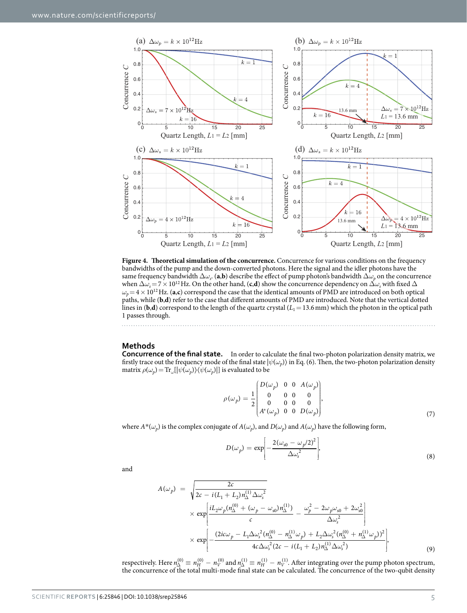

<span id="page-4-0"></span>**Figure 4. Theoretical simulation of the concurrence.** Concurrence for various conditions on the frequency bandwidths of the pump and the down-converted photons. Here the signal and the idler photons have the same frequency bandwidth  $\Delta\omega_s$ . (**a**,**b**) describe the effect of pump photon's bandwidth  $\Delta\omega_p$  on the concurrence when  $\Delta\omega_s = 7\times10^{12}$  Hz. On the other hand, (**c**,**d**) show the concurrence dependency on  $\Delta\omega_s$  with fixed  $\Delta$  $\omega_p = 4 \times 10^{12}$  Hz. (a,c) correspond the case that the identical amounts of PMD are introduced on both optical paths, while (**b**,**d**) refer to the case that different amounts of PMD are introduced. Note that the vertical dotted lines in (**b**,**d**) correspond to the length of the quartz crystal ( $L_1 = 13.6$  mm) which the photon in the optical path 1 passes through.

#### **Methods**

**Concurrence of the final state.** In order to calculate the final two-photon polarization density matrix, we firstly trace out the frequency mode of the final state  $|\psi(\omega_p)\rangle$  in Eq. (6). Then, the two-photon polarization density matrix  $\rho(\omega_p) = \text{Tr}_{\omega}[\psi(\omega_p) \rangle \langle \psi(\omega_p) |]$  is evaluated to be

$$
\rho(\omega_p) = \frac{1}{2} \begin{bmatrix} D(\omega_p) & 0 & 0 & A(\omega_p) \\ 0 & 0 & 0 & 0 \\ 0 & 0 & 0 & 0 \\ A^*(\omega_p) & 0 & 0 & D(\omega_p) \end{bmatrix},
$$
\n(7)

where  $A^*(\omega_p)$  is the complex conjugate of  $A(\omega_p)$ , and  $D(\omega_p)$  and  $A(\omega_p)$  have the following form,

$$
D(\omega_p) = \exp\left[-\frac{2(\omega_{s0} - \omega_p/2)^2}{\Delta\omega_s^2}\right],\tag{8}
$$

and

$$
A(\omega_p) = \sqrt{\frac{2c}{2c - i(L_1 + L_2)n_{\Delta}^{(1)}\Delta\omega_s^2}} \times \exp\left[\frac{iL_2\omega_p(n_{\Delta}^{(0)} + (\omega_p - \omega_{s0})n_{\Delta}^{(1)})}{c} - \frac{\omega_p^2 - 2\omega_p\omega_{s0} + 2\omega_{s0}^2}{\Delta\omega_s^2}\right] \times \exp\left[-\frac{(2ic\omega_p - L_1\Delta\omega_s^2(n_{\Delta}^{(0)} - n_{\Delta}^{(1)}\omega_p) + L_2\Delta\omega_s^2(n_{\Delta}^{(0)} + n_{\Delta}^{(1)}\omega_p))^2}{4c\Delta\omega_s^2(2c - i(L_1 + L_2)n_{\Delta}^{(1)}\Delta\omega_s^2)}\right],
$$
\n(9)

respectively. Here  $n_{\Delta}^{(0)} \equiv n_H^{(0)} - n_V^{(0)}$  and  $n_{\Delta}^{(1)} \equiv n_H^{(1)} - n_V^{(1)}$ . After integrating over the pump photon spectrum, the concurrence of the total multi-mode final state can be calculated. The concurrence of the two-qubit density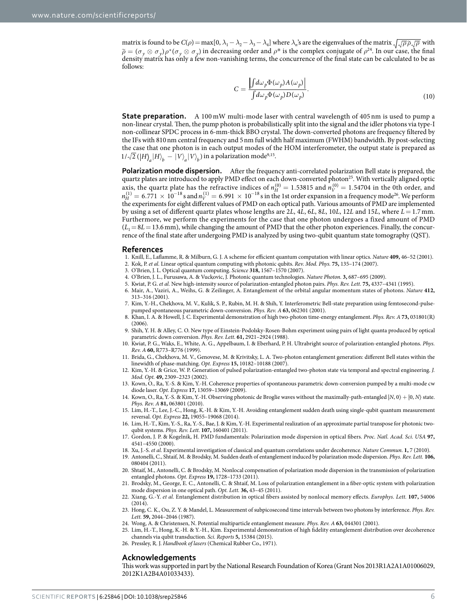matrix is found to be  $C(\rho) = \max[0, \lambda_1 - \lambda_2 - \lambda_3 - \lambda_4]$  where  $\lambda_n$ 's are the eigenvalues of the matrix  $\sqrt{\sqrt{\rho \rho_1 \rho}}$  with  $\tilde{\rho} = (\sigma_y \otimes \sigma_y)\rho^*(\sigma_y \otimes \sigma_y)$  in decreasing order and  $\rho^*$  is the complex conjugate of  $\rho^{24}$  $\rho^{24}$  $\rho^{24}$ . In our case, the final density matrix has only a few non-vanishing terms, the concurrence of the final state can be calculated to be as follows:

$$
C = \frac{\left| \int d\omega_p \Phi(\omega_p) A(\omega_p) \right|}{\int d\omega_p \Phi(\omega_p) D(\omega_p)}.
$$
\n(10)

**State preparation.** A 100 mW multi-mode laser with central wavelength of 405 nm is used to pump a non-linear crystal. Then, the pump photon is probabilistically split into the signal and the idler photons via type-I non-collinear SPDC process in 6-mm-thick BBO crystal. The down-converted photons are frequency filtered by the IFs with 810nm central frequency and 5nm full width half maximum (FWHM) bandwidth. By post-selecting the case that one photon is in each output modes of the HOM interferometer, the output state is prepared as  $1/\sqrt{2}$  ( $\ket{H}_a\ket{H}_b - \ket{V}_a\ket{V}_b$ ) in a polarization mode<sup>[9](#page-5-2),[15](#page-5-16)</sup>.

**Polarization mode dispersion.** After the frequency anti-correlated polarization Bell state is prepared, the quartz plates are introduced to apply PMD effect on each down-converted photon<sup>[25](#page-5-18)</sup>. With vertically aligned optic axis, the quartz plate has the refractive indices of  $n_H^{(0)} = 1.53815$  and  $n_V^{(0)} = 1.54704$  in the 0th order, and  $n_H^{(1)} = 6.771 \times 10^{-18}$  s and  $n_V^{(1)} = 6.991 \times 10^{-18}$  s in the 1st order expansion in a frequency mode<sup>26</sup>. We perform the experiments for eight different values of PMD on each optical path. Various amounts of PMD are implemented by using a set of different quartz plates whose lengths are 2*L*, 4*L*, 6*L*, 8*L*, 10*L*, 12*L* and 15*L*, where *L*= 1.7 mm. Furthermore, we perform the experiments for the case that one photon undergoes a fixed amount of PMD  $(L_1=8L=13.6$  mm), while changing the amount of PMD that the other photon experiences. Finally, the concurrence of the final state after undergoing PMD is analyzed by using two-qubit quantum state tomography (QST).

#### **References**

- <span id="page-5-0"></span>1. Knill, E., Laflamme, R. & Milburn, G. J. A scheme for efficient quantum computation with linear optics. *Nature* **409,** 46–52 (2001).
- <span id="page-5-6"></span>2. Kok, P. *et al.* Linear optical quantum computing with photonic qubits. *Rev. Mod. Phys.* **75,** 135–174 (2007).
- 3. O'Brien, J. L. Optical quantum computing. *Science* **318,** 1567–1570 (2007).
- 4. O'Brien, J. L., Furusawa, A. & Vuckovic, J. Photonic quantum technologies. *Nature Photon.* **3,** 687–695 (2009).
- <span id="page-5-1"></span>5. Kwiat, P. G. *et al.* New high-intensity source of polarization-entangled photon pairs. *Phys. Rev. Lett.* **75,** 4337–4341 (1995).
- 6. Mair, A., Vaziri, A., Weihs, G. & Zeilinger, A. Entanglement of the orbital angular momentum states of photons. *Nature* **412,** 313–316 (2001).
- <span id="page-5-3"></span>7. Kim, Y.-H., Chekhova, M. V., Kulik, S. P., Rubin, M. H. & Shih, Y. Interferometric Bell-state preparation using femtosecond-pulsepumped spontaneous parametric down-conversion. *Phys. Rev. A* **63,** 062301 (2001).
- 8. Khan, I. A. & Howell, J. C. Experimental demonstration of high two-photon time-energy entanglement. *Phys. Rev. A* **73,** 031801(R) (2006).
- <span id="page-5-2"></span>9. Shih, Y. H. & Alley, C. O. New type of Einstein-Podolsky-Rosen-Bohm experiment using pairs of light quanta produced by optical parametric down conversion. *Phys. Rev. Lett.* **61,** 2921–2924 (1988).
- 10. Kwiat, P. G., Waks, E., White, A. G., Appelbaum, I. & Eberhard, P. H. Ultrabright source of polarization-entangled photons. *Phys. Rev. A* **60,** R773–R776 (1999).
- 11. Brida, G., Chekhova, M. V., Genovese, M. & Krivitsky, L. A. Two-photon entanglement generation: different Bell states within the linewidth of phase-matching. *Opt. Express* **15,** 10182–10188 (2007).
- <span id="page-5-4"></span>12. Kim, Y.-H. & Grice, W. P. Generation of pulsed polarization-entangled two-photon state via temporal and spectral engineering. *J. Mod. Opt.* **49,** 2309–2323 (2002).
- <span id="page-5-5"></span>13. Kown, O., Ra, Y.-S. & Kim, Y.-H. Coherence properties of spontaneous parametric down-conversion pumped by a multi-mode cw diode laser. *Opt. Express* **17,** 13059–13069 (2009).
- <span id="page-5-14"></span>14. Kown, O., Ra, Y.-S. & Kim, Y.-H. Observing photonic de Broglie waves without the maximally-path-entangled |*N*, 0〉 + |0, *N*〉 state. *Phys. Rev. A* **81,** 063801 (2010).
- <span id="page-5-16"></span>15. Lim, H.-T., Lee, J.-C., Hong, K.-H. & Kim, Y.-H. Avoiding entanglement sudden death using single-qubit quantum measurement reversal. *Opt. Express* **22,** 19055–19068 (2014).
- <span id="page-5-7"></span>16. Lim, H.-T., Kim, Y.-S., Ra, Y.-S., Bae, J. & Kim, Y.-H. Experimental realization of an approximate partial transpose for photonic twoqubit systems. *Phys. Rev. Lett.* **107,** 160401 (2011).
- <span id="page-5-8"></span>17. Gordon, J. P. & Kogelnik, H. PMD fundamentals: Polarization mode dispersion in optical fibers. *Proc. Natl. Acad. Sci. USA* **97,** 4541–4550 (2000).
- <span id="page-5-10"></span><span id="page-5-9"></span>18. Xu, J.-S. *et al.* Experimental investigation of classical and quantum correlations under decoherence. *Nature Commun.* **1,** 7 (2010).
- 19. Antonelli, C., Shtaif, M. & Brodsky, M. Sudden death of entanglement induced by polarization mode dispersion. *Phys. Rev. Lett.* **106,** 080404 (2011).
- <span id="page-5-11"></span>20. Shtaif, M., Antonelli, C. & Brodsky, M. Nonlocal compensation of polarization mode dispersion in the transmission of polarization entangled photons. *Opt. Express* **19,** 1728–1733 (2011).
- <span id="page-5-12"></span>21. Brodsky, M., George, E. C., Antonelli, C. & Shtaif, M. Loss of polarization entanglement in a fiber-optic system with polarization mode dispersion in one optical path. *Opt. Lett.* **36,** 43–45 (2011).
- <span id="page-5-13"></span>22. Xiang, G.-Y. *et al.* Entanglement distribution in optical fibers assisted by nonlocal memory effects. *Europhys. Lett.* **107,** 54006 (2014).
- <span id="page-5-15"></span>23. Hong, C. K., Ou, Z. Y. & Mandel, L. Measurement of subpicosecond time intervals between two photons by interference. *Phys. Rev. Lett.* **59,** 2044–2046 (1987).
- <span id="page-5-18"></span><span id="page-5-17"></span>24. Wong, A. & Christensen, N. Potential multiparticle entanglement measure. *Phys. Rev. A* **63,** 044301 (2001).
- 25. Lim, H.-T., Hong, K.-H. & Y.-H., Kim. Experimental demonstration of high fidelity entanglement distribution over decoherence channels via qubit transduction. *Sci. Reports* **5,** 15384 (2015).
- <span id="page-5-19"></span>26. Pressley, R. J. *Handbook of lasers* (Chemical Rubber Co., 1971).

#### **Acknowledgements**

This work was supported in part by the National Research Foundation of Korea (Grant Nos 2013R1A2A1A01006029, 2012K1A2B4A01033433).